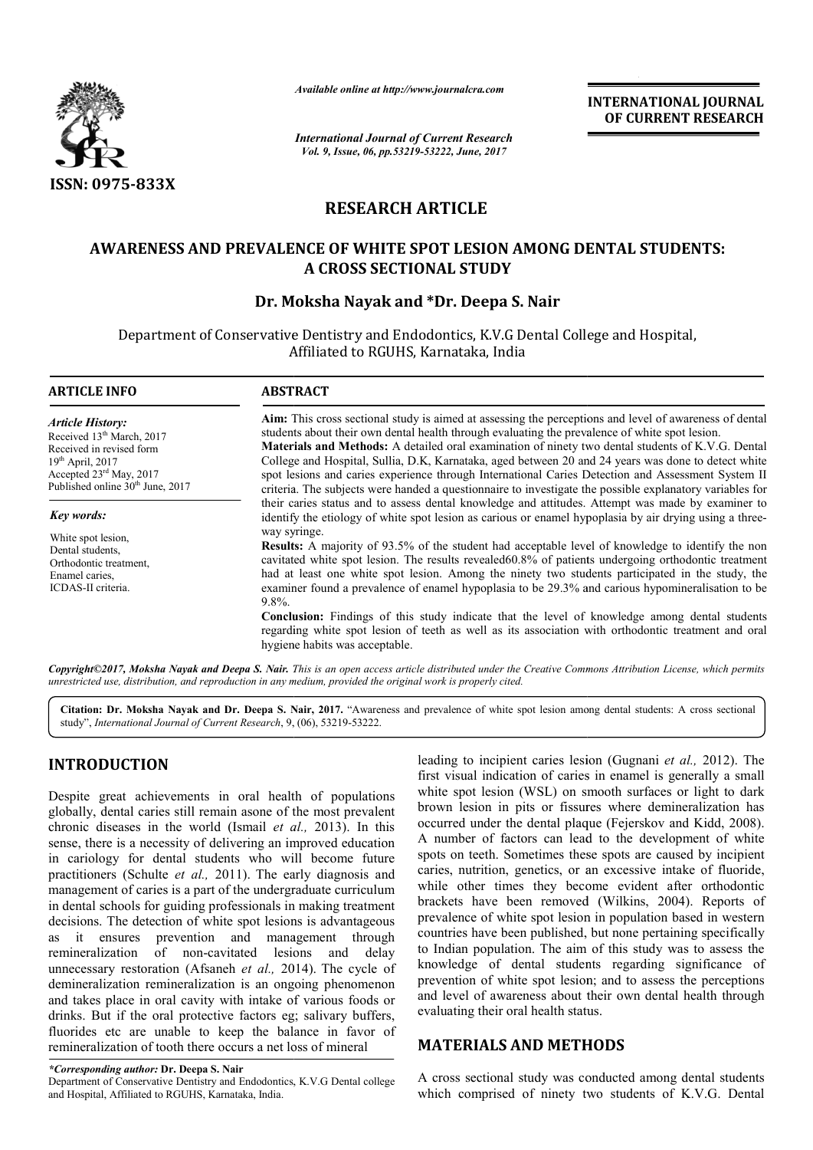

*Available online at http://www.journalcra.com*

*International Journal of Current Research Vol. 9, Issue, 06, pp.53219-53222, June, 2017*

**INTERNATIONAL JOURNAL OF CURRENT RESEARCH** 

# **RESEARCH ARTICLE**

## **AWARENESS AND PREVALENCE OF WHITE SPOT LESION AMONG DENTAL STUDENTS: DENTAL STUDENTS: A CROSS SECTIONAL STUDY**

## **Dr. Moksha Nayak and \*Dr. Deepa S. Nair**

Department of Conservative Dentistry and Endodontics, K.V.G Dental College and Hospital, Affiliated to RGUHS, Karnataka, India

| <b>ARTICLE INFO</b>                                                                                                                                                                                       | <b>ABSTRACT</b>                                                                                                                                                                                                                                                                                                                                                                                                                                                                                                                                                                                                                                                                                         |  |  |  |  |  |
|-----------------------------------------------------------------------------------------------------------------------------------------------------------------------------------------------------------|---------------------------------------------------------------------------------------------------------------------------------------------------------------------------------------------------------------------------------------------------------------------------------------------------------------------------------------------------------------------------------------------------------------------------------------------------------------------------------------------------------------------------------------------------------------------------------------------------------------------------------------------------------------------------------------------------------|--|--|--|--|--|
| <b>Article History:</b><br>Received 13 <sup>th</sup> March, 2017<br>Received in revised form<br>$19th$ April, 2017<br>Accepted 23 <sup>rd</sup> May, 2017<br>Published online 30 <sup>th</sup> June, 2017 | Aim: This cross sectional study is aimed at assessing the perceptions and level of awareness of dental<br>students about their own dental health through evaluating the prevalence of white spot lesion.<br><b>Materials and Methods:</b> A detailed oral examination of ninety two dental students of K.V.G. Dental<br>College and Hospital, Sullia, D.K., Karnataka, aged between 20 and 24 years was done to detect white<br>spot lesions and caries experience through International Caries Detection and Assessment System II<br>criteria. The subjects were handed a questionnaire to investigate the possible explanatory variables for                                                          |  |  |  |  |  |
| Key words:                                                                                                                                                                                                | their caries status and to assess dental knowledge and attitudes. Attempt was made by examiner to<br>identify the etiology of white spot lesion as carious or enamel hypoplasia by air drying using a three-                                                                                                                                                                                                                                                                                                                                                                                                                                                                                            |  |  |  |  |  |
| White spot lesion.<br>Dental students,<br>Orthodontic treatment.<br>Enamel caries.<br>ICDAS-II criteria.                                                                                                  | way syringe.<br><b>Results:</b> A majority of 93.5% of the student had acceptable level of knowledge to identify the non<br>cavitated white spot lesion. The results revealed 60.8% of patients undergoing orthodontic treatment<br>had at least one white spot lesion. Among the ninety two students participated in the study, the<br>examiner found a prevalence of enamel hypoplasia to be 29.3% and carious hypomineralisation to be<br>$9.8\%$ .<br><b>Conclusion:</b> Findings of this study indicate that the level of knowledge among dental students<br>regarding white spot lesion of teeth as well as its association with orthodontic treatment and oral<br>hygiene habits was acceptable. |  |  |  |  |  |

*Copyright©2017, Moksha Nayak and Deepa S. Nair. This is an open access article distributed under the Creative Commons Att is the Attribution License, which permits unrestricted use, distribution, and reproduction in any medium, provided the original work is properly cited.*

Citation: Dr. Moksha Nayak and Dr. Deepa S. Nair, 2017. "Awareness and prevalence of white spot lesion among dental students: A cross sectional study", International Journal of Current Research, 9, (06), 53219-53222.

## **INTRODUCTION**

Despite great achievements in oral health of populations globally, dental caries still remain asone of the most prevalent chronic diseases in the world (Ismail *et al.,*  2013). In this sense, there is a necessity of delivering an improved education in cariology for dental students who will become future practitioners (Schulte *et al.,* 2011). The early diagnosis and management of caries is a part of the undergraduate curriculum in dental schools for guiding professionals in making treatment decisions. The detection of white spot lesions is advantageous as it ensures prevention and management th through remineralization of non-cavitated lesions and delay remineralization of non-cavitated lesions and delay<br>unnecessary restoration (Afsaneh *et al.*, 2014). The cycle of demineralization remineralization is an ongoing phenomenon and takes place in oral cavity with intake of various foods or drinks. But if the oral protective factors eg; salivary buffers, fluorides etc are unable to keep the balance in favor of remineralization of tooth there occurs a net loss of mineral

leading to incipient caries lesion<br>first visual indication of caries in<br>the of populations<br>white spot lesion (WSL) on sme<br>ne of the most prevalent brown lesion in pits or fissures<br>an evaluate the dental plaque<br>a convill b first visual indication of caries in enamel is generally a small first visual indication of caries in enamel is generally a small white spot lesion (WSL) on smooth surfaces or light to dark brown lesion in pits or fissures where demineralization has brown lesion in pits or fissures where demineralization has occurred under the dental plaque (Fejerskov and Kidd, 2008). A number of factors can lead to the development of white spots on teeth. Sometimes these spots are caused by incipient caries, nutrition, genetics, or an excessive intake of fluoride, while other times they become evident after orthodontic while other times they become evident after orthodontic brackets have been removed (Wilkins, 2004). Reports of prevalence of white spot lesion in population based in western countries have been published, but none pertaining specifically prevalence of white spot lesion in population based in western countries have been published, but none pertaining specifically to Indian population. The aim of this study was to assess the knowledge of dental students regarding significance of prevention of white spot lesion; and to assess the perceptions and level of awareness about their own dental health through evaluating their oral health status. leading to incipient caries lesion (Gugnani et al., 2012). The

## **MATERIALS AND METHODS METHODS**

A cross sectional study was conducted among dental students which comprised of ninety two students of K.V.G. Dental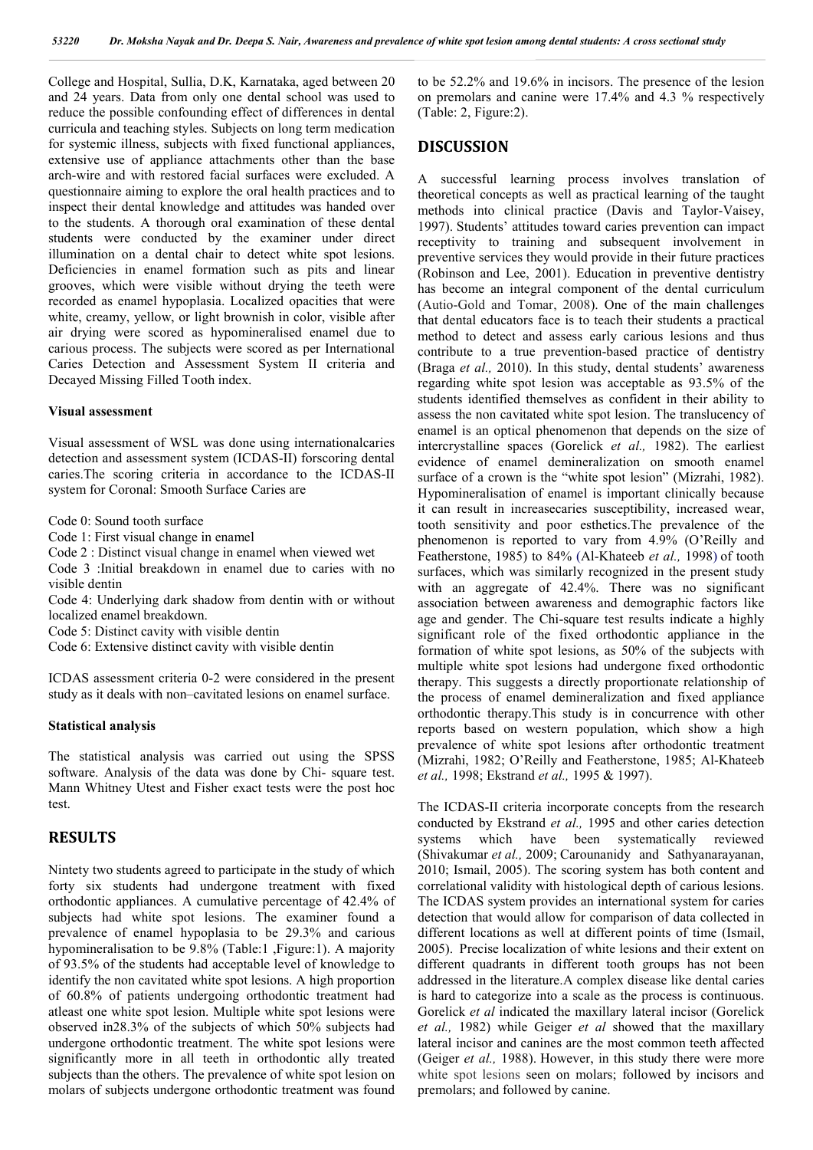College and Hospital, Sullia, D.K, Karnataka, aged between 20 and 24 years. Data from only one dental school was used to reduce the possible confounding effect of differences in dental curricula and teaching styles. Subjects on long term medication for systemic illness, subjects with fixed functional appliances, extensive use of appliance attachments other than the base arch-wire and with restored facial surfaces were excluded. A questionnaire aiming to explore the oral health practices and to inspect their dental knowledge and attitudes was handed over to the students. A thorough oral examination of these dental students were conducted by the examiner under direct illumination on a dental chair to detect white spot lesions. Deficiencies in enamel formation such as pits and linear grooves, which were visible without drying the teeth were recorded as enamel hypoplasia. Localized opacities that were white, creamy, yellow, or light brownish in color, visible after air drying were scored as hypomineralised enamel due to carious process. The subjects were scored as per International Caries Detection and Assessment System II criteria and Decayed Missing Filled Tooth index.

### **Visual assessment**

Visual assessment of WSL was done using internationalcaries detection and assessment system (ICDAS-II) forscoring dental caries.The scoring criteria in accordance to the ICDAS-II system for Coronal: Smooth Surface Caries are

Code 0: Sound tooth surface

Code 1: First visual change in enamel

Code 2 : Distinct visual change in enamel when viewed wet

Code 3 :Initial breakdown in enamel due to caries with no visible dentin

Code 4: Underlying dark shadow from dentin with or without localized enamel breakdown.

Code 5: Distinct cavity with visible dentin

Code 6: Extensive distinct cavity with visible dentin

ICDAS assessment criteria 0-2 were considered in the present study as it deals with non–cavitated lesions on enamel surface.

#### **Statistical analysis**

The statistical analysis was carried out using the SPSS software. Analysis of the data was done by Chi- square test. Mann Whitney Utest and Fisher exact tests were the post hoc test.

### **RESULTS**

Nintety two students agreed to participate in the study of which forty six students had undergone treatment with fixed orthodontic appliances. A cumulative percentage of 42.4% of subjects had white spot lesions. The examiner found a prevalence of enamel hypoplasia to be 29.3% and carious hypomineralisation to be 9.8% (Table:1 ,Figure:1). A majority of 93.5% of the students had acceptable level of knowledge to identify the non cavitated white spot lesions. A high proportion of 60.8% of patients undergoing orthodontic treatment had atleast one white spot lesion. Multiple white spot lesions were observed in28.3% of the subjects of which 50% subjects had undergone orthodontic treatment. The white spot lesions were significantly more in all teeth in orthodontic ally treated subjects than the others. The prevalence of white spot lesion on molars of subjects undergone orthodontic treatment was found

to be 52.2% and 19.6% in incisors. The presence of the lesion on premolars and canine were 17.4% and 4.3 % respectively (Table: 2, Figure:2).

### **DISCUSSION**

A successful learning process involves translation of theoretical concepts as well as practical learning of the taught methods into clinical practice (Davis and Taylor-Vaisey, 1997). Students' attitudes toward caries prevention can impact receptivity to training and subsequent involvement in preventive services they would provide in their future practices (Robinson and Lee, 2001). Education in preventive dentistry has become an integral component of the dental curriculum (Autio-Gold and Tomar, 2008). One of the main challenges that dental educators face is to teach their students a practical method to detect and assess early carious lesions and thus contribute to a true prevention-based practice of dentistry (Braga *et al.,* 2010). In this study, dental students' awareness regarding white spot lesion was acceptable as 93.5% of the students identified themselves as confident in their ability to assess the non cavitated white spot lesion. The translucency of enamel is an optical phenomenon that depends on the size of intercrystalline spaces (Gorelick *et al.,* 1982). The earliest evidence of enamel demineralization on smooth enamel surface of a crown is the "white spot lesion" (Mizrahi, 1982). Hypomineralisation of enamel is important clinically because it can result in increasecaries susceptibility, increased wear, tooth sensitivity and poor esthetics.The prevalence of the phenomenon is reported to vary from 4.9% (O'Reilly and Featherstone, 1985) to 84% (Al-Khateeb *et al.,* 1998) of tooth surfaces, which was similarly recognized in the present study with an aggregate of 42.4%. There was no significant association between awareness and demographic factors like age and gender. The Chi-square test results indicate a highly significant role of the fixed orthodontic appliance in the formation of white spot lesions, as 50% of the subjects with multiple white spot lesions had undergone fixed orthodontic therapy. This suggests a directly proportionate relationship of the process of enamel demineralization and fixed appliance orthodontic therapy.This study is in concurrence with other reports based on western population, which show a high prevalence of white spot lesions after orthodontic treatment (Mizrahi, 1982; O'Reilly and Featherstone, 1985; Al-Khateeb *et al.,* 1998; Ekstrand *et al.,* 1995 & 1997).

The ICDAS-II criteria incorporate concepts from the research conducted by Ekstrand *et al.,* 1995 and other caries detection systems which have been systematically reviewed (Shivakumar *et al.,* 2009; Carounanidy and Sathyanarayanan, 2010; Ismail, 2005). The scoring system has both content and correlational validity with histological depth of carious lesions. The ICDAS system provides an international system for caries detection that would allow for comparison of data collected in different locations as well at different points of time (Ismail, 2005). Precise localization of white lesions and their extent on different quadrants in different tooth groups has not been addressed in the literature.A complex disease like dental caries is hard to categorize into a scale as the process is continuous. Gorelick *et al* indicated the maxillary lateral incisor (Gorelick *et al.,* 1982) while Geiger *et al* showed that the maxillary lateral incisor and canines are the most common teeth affected (Geiger *et al.,* 1988). However, in this study there were more white spot lesions seen on molars; followed by incisors and premolars; and followed by canine.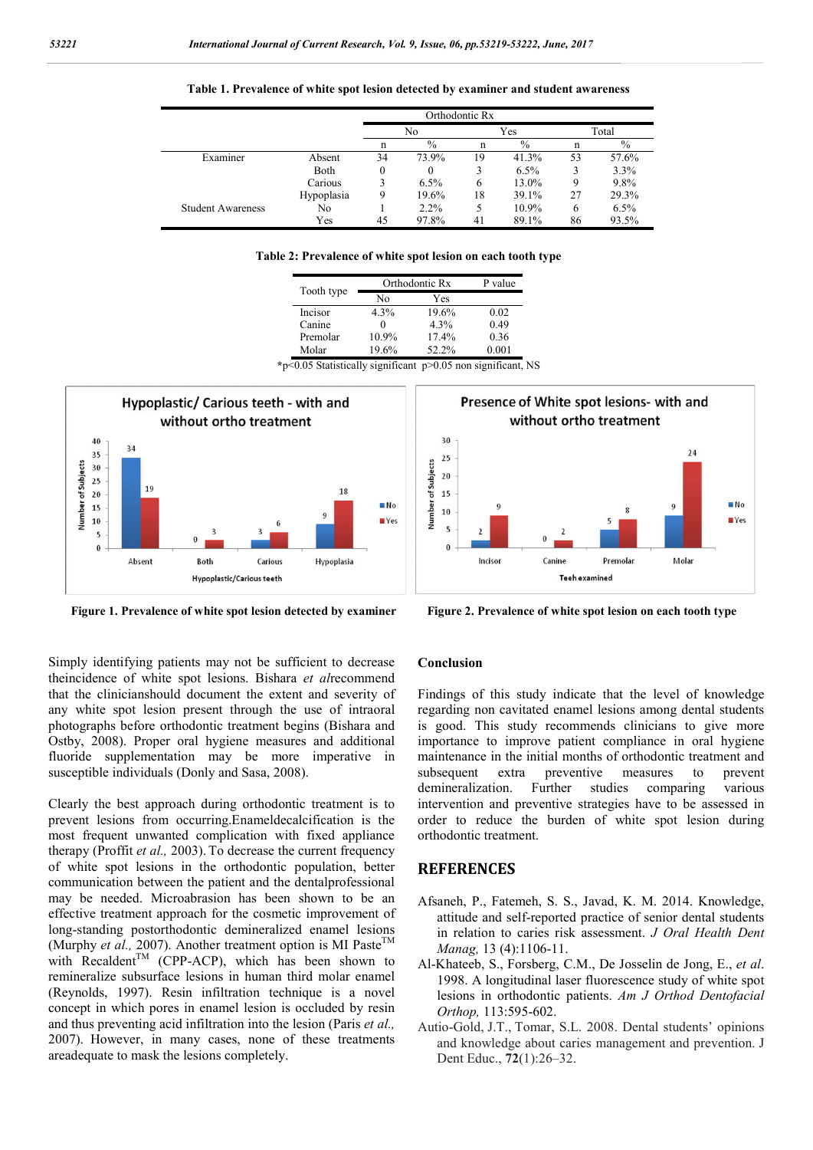|                          |            | Orthodontic Rx |               |     |         |       |         |
|--------------------------|------------|----------------|---------------|-----|---------|-------|---------|
|                          |            | No             |               | Yes |         | Total |         |
|                          |            | n              | $\frac{0}{0}$ | n   | $\%$    | n     | $\%$    |
| Examiner                 | Absent     | 34             | 73.9%         | 19  | 41.3%   | 53    | 57.6%   |
|                          | Both       | 0              | $\theta$      | 3   | $6.5\%$ |       | 3.3%    |
|                          | Carious    |                | $6.5\%$       | 6   | 13.0%   |       | 9.8%    |
|                          | Hypoplasia |                | 19.6%         | 18  | 39.1%   | 27    | 29.3%   |
| <b>Student Awareness</b> | No         |                | $2.2\%$       |     | 10.9%   | 6     | $6.5\%$ |
|                          | Yes        | 45             | 97.8%         | 41  | 89.1%   | 86    | 93.5%   |

**Table 1. Prevalence of white spot lesion detected by examiner and student awareness**

| Table 2: Prevalence of white spot lesion on each tooth type |
|-------------------------------------------------------------|
|-------------------------------------------------------------|

| Tooth type |  | Orthodontic Rx | P value |       |
|------------|--|----------------|---------|-------|
|            |  | Nο             | Yes     |       |
| Incisor    |  | 4.3%           | 19.6%   | 0.02  |
| Canine     |  |                | 4.3%    | 0.49  |
| Premolar   |  | $10.9\%$       | 17.4%   | 0.36  |
| Molar      |  | 19.6%          | 52.2%   | 0.001 |

**\***p<0.05 Statistically significant p>0.05 non significant, NS



Simply identifying patients may not be sufficient to decrease theincidence of white spot lesions. Bishara *et al*recommend that the clinicianshould document the extent and severity of any white spot lesion present through the use of intraoral photographs before orthodontic treatment begins (Bishara and Ostby, 2008). Proper oral hygiene measures and additional fluoride supplementation may be more imperative in susceptible individuals (Donly and Sasa, 2008).

Clearly the best approach during orthodontic treatment is to prevent lesions from occurring.Enameldecalcification is the most frequent unwanted complication with fixed appliance therapy (Proffit *et al.,* 2003). To decrease the current frequency of white spot lesions in the orthodontic population, better communication between the patient and the dentalprofessional may be needed. Microabrasion has been shown to be an effective treatment approach for the cosmetic improvement of long-standing postorthodontic demineralized enamel lesions (Murphy et al., 2007). Another treatment option is MI Paste<sup>TM</sup> with Recaldent<sup>TM</sup> (CPP-ACP), which has been shown to remineralize subsurface lesions in human third molar enamel (Reynolds, 1997). Resin infiltration technique is a novel concept in which pores in enamel lesion is occluded by resin and thus preventing acid infiltration into the lesion (Paris *et al.,*  2007). However, in many cases, none of these treatments areadequate to mask the lesions completely.



Figure 1. Prevalence of white spot lesion detected by examiner<br>Figure 2. Prevalence of white spot lesion detected by examiner<br>Figure 2. Prevalence of white spot lesion detected by examiner

#### **Conclusion**

Findings of this study indicate that the level of knowledge regarding non cavitated enamel lesions among dental students is good. This study recommends clinicians to give more importance to improve patient compliance in oral hygiene maintenance in the initial months of orthodontic treatment and subsequent extra preventive measures to prevent demineralization. Further studies comparing various intervention and preventive strategies have to be assessed in order to reduce the burden of white spot lesion during orthodontic treatment.

#### **REFERENCES**

- Afsaneh, P., Fatemeh, S. S., Javad, K. M. 2014. Knowledge, attitude and self-reported practice of senior dental students in relation to caries risk assessment. *J Oral Health Dent Manag,* 13 (4):1106-11.
- Al-Khateeb, S., Forsberg, C.M., De Josselin de Jong, E., *et al*. 1998. A longitudinal laser fluorescence study of white spot lesions in orthodontic patients. *Am J Orthod Dentofacial Orthop,* 113:595-602.
- Autio-Gold, J.T., Tomar, S.L. 2008. Dental students' opinions and knowledge about caries management and prevention. J Dent Educ., **72**(1):26–32.